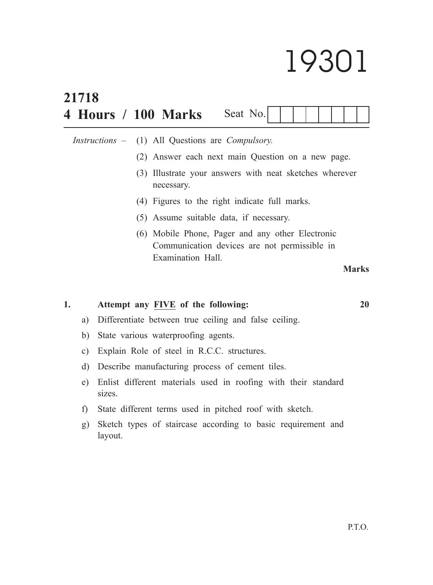# 19301

|    | 21718         |                                                       |  |                                                                                                                       |          |  |  |  |  |  |  |  |              |  |
|----|---------------|-------------------------------------------------------|--|-----------------------------------------------------------------------------------------------------------------------|----------|--|--|--|--|--|--|--|--------------|--|
|    |               |                                                       |  | 4 Hours / 100 Marks                                                                                                   | Seat No. |  |  |  |  |  |  |  |              |  |
|    |               | <i>Instructions</i> –                                 |  | (1) All Questions are <i>Compulsory</i> .<br>(2) Answer each next main Question on a new page.                        |          |  |  |  |  |  |  |  |              |  |
|    |               |                                                       |  | (3) Illustrate your answers with neat sketches wherever<br>necessary.                                                 |          |  |  |  |  |  |  |  |              |  |
|    |               |                                                       |  | (4) Figures to the right indicate full marks.                                                                         |          |  |  |  |  |  |  |  |              |  |
|    |               |                                                       |  | (5) Assume suitable data, if necessary.                                                                               |          |  |  |  |  |  |  |  |              |  |
|    |               |                                                       |  | (6) Mobile Phone, Pager and any other Electronic<br>Communication devices are not permissible in<br>Examination Hall. |          |  |  |  |  |  |  |  |              |  |
|    |               |                                                       |  |                                                                                                                       |          |  |  |  |  |  |  |  | <b>Marks</b> |  |
| 1. |               |                                                       |  | Attempt any FIVE of the following:                                                                                    |          |  |  |  |  |  |  |  | 20           |  |
|    | a)            | Differentiate between true ceiling and false ceiling. |  |                                                                                                                       |          |  |  |  |  |  |  |  |              |  |
|    | b)            | State various waterproofing agents.                   |  |                                                                                                                       |          |  |  |  |  |  |  |  |              |  |
|    | $\mathbf{c})$ |                                                       |  | Explain Role of steel in R.C.C. structures.                                                                           |          |  |  |  |  |  |  |  |              |  |

- d) Describe manufacturing process of cement tiles.
- e) Enlist different materials used in roofing with their standard sizes.
- f) State different terms used in pitched roof with sketch.
- g) Sketch types of staircase according to basic requirement and layout.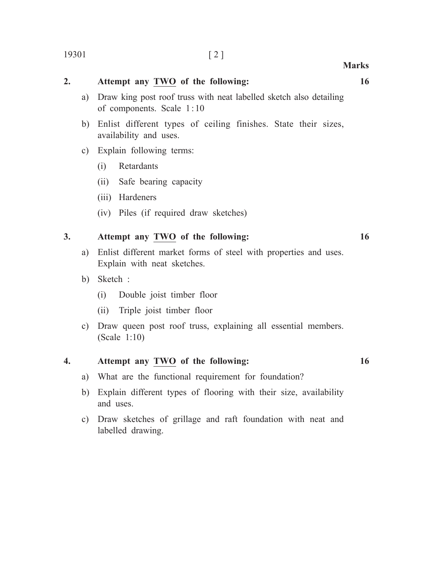## **2. Attempt any TWO of the following: 16**

- a) Draw king post roof truss with neat labelled sketch also detailing of components. Scale 1:10
- b) Enlist different types of ceiling finishes. State their sizes, availability and uses.
- c) Explain following terms:
	- (i) Retardants
	- (ii) Safe bearing capacity
	- (iii) Hardeners
	- (iv) Piles (if required draw sketches)

### **3. Attempt any TWO of the following: 16**

- a) Enlist different market forms of steel with properties and uses. Explain with neat sketches.
- b) Sketch :
	- (i) Double joist timber floor
	- (ii) Triple joist timber floor
- c) Draw queen post roof truss, explaining all essential members. (Scale 1:10)

#### **4. Attempt any TWO of the following: 16**

- a) What are the functional requirement for foundation?
- b) Explain different types of flooring with their size, availability and uses.
- c) Draw sketches of grillage and raft foundation with neat and labelled drawing.